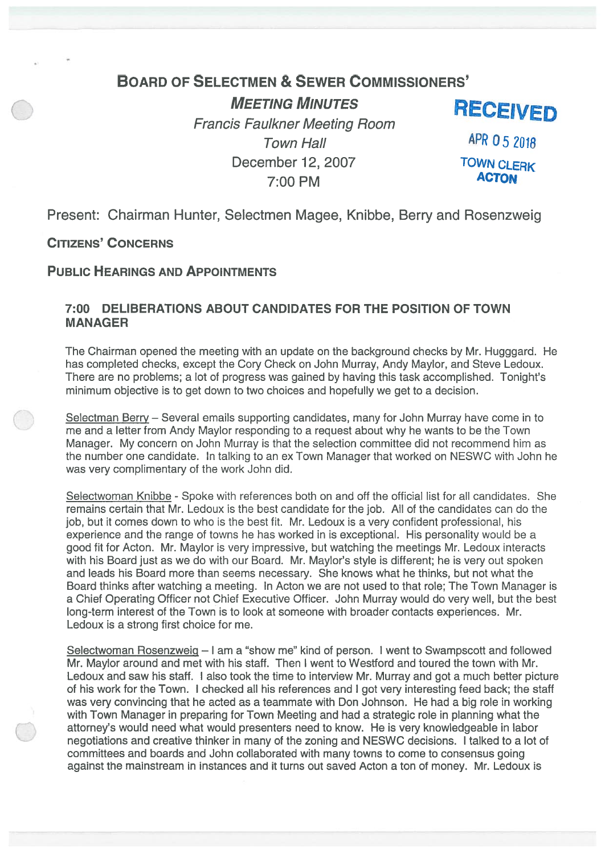# BOARD OF SELECTMEN & SEWER CoMMIssIoNERs'

**MEETING MINUTES**<br>Francis Faulkner Meeting Room<br>Francis Faulkner Meeting Room Town Hall **APR** 05 2018 December 12, 2007<br> **Example 2007**<br> **CTON** 7:00 PM

Present: Chairman Hunter, Selectmen Magee, Knibbe, Berry and Rosenzweig

CITIZENS' CONCERNS

# PUBLIC HEARINGS AND APPOINTMENTS

### 7:00 DELIBERATIONS ABOUT CANDIDATES FOR THE POSITION OF TOWN MANAGER

The Chairman opened the meeting with an update on the background checks by Mr. Hugggard. He has completed checks, excep<sup>t</sup> the Cory Check on John Murray, Andy Maylor, and Steve Ledoux. There are no problems; <sup>a</sup> lot of progress was gained by having this task accomplished. Tonight's minimum objective is to ge<sup>t</sup> down to two choices and hopefully we ge<sup>t</sup> to <sup>a</sup> decision.

Selectman Berry — Several emails supporting candidates, many for John Murray have come in to me and <sup>a</sup> letter from Andy Maylor responding to <sup>a</sup> reques<sup>t</sup> about why he wants to be the Town Manager. My concern on John Murray is that the selection committee did not recommend him as the number one candidate. In talking to an ex Town Manager that worked on NESWC with John he was very complimentary of the work John did.

Selectwoman Knibbe - Spoke with references both on and off the official list for all candidates. She remains certain that Mr. Ledoux is the best candidate for the job. All of the candidates can do the job, but it comes down to who is the best fit. Mr. Ledoux is <sup>a</sup> very confident professional, his experience and the range of towns he has worked in is exceptional. His personality would be <sup>a</sup> good fit for Acton. Mr. Maylor is very impressive, but watching the meetings Mr. Ledoux interacts with his Board just as we do with our Board. Mr. Maylor's style is different; he is very out spoken and leads his Board more than seems necessary. She knows what he thinks, but not what the Board thinks after watching <sup>a</sup> meeting. In Acton we are not used to that role; The Town Manager is <sup>a</sup> Chief Operating Officer not Chief Executive Officer. John Murray would do very well, but the best long-term interest of the Town is to look at someone with broader contacts experiences. Mr. Ledoux is <sup>a</sup> strong first choice for me.

Selectwoman Rosenzweiq — I am <sup>a</sup> "show me" kind of person. I went to Swampscott and followed Mr. Maylor around and met with his staff. Then I went to Wesiford and toured the town with Mr. Ledoux and saw his staff. I also took the time to interview Mr. Murray and go<sup>t</sup> <sup>a</sup> much better picture of his work for the Town. I checked all his references and I go<sup>t</sup> very interesting feed back; the staff was very convincing that he acted as <sup>a</sup> teammate with Don Johnson. He had <sup>a</sup> big role in working with Town Manager in preparing for Town Meeting and had <sup>a</sup> strategic role in planning what the attorney's would need what would presenters need to know. He is very knowledgeable in labor negotiations and creative thinker in many of the zoning and NESWC decisions. I talked to <sup>a</sup> lot of committees and boards and John collaborated with many towns to come to consensus going against the mainstream in instances and it turns out saved Acton <sup>a</sup> ton of money. Mr. Ledoux is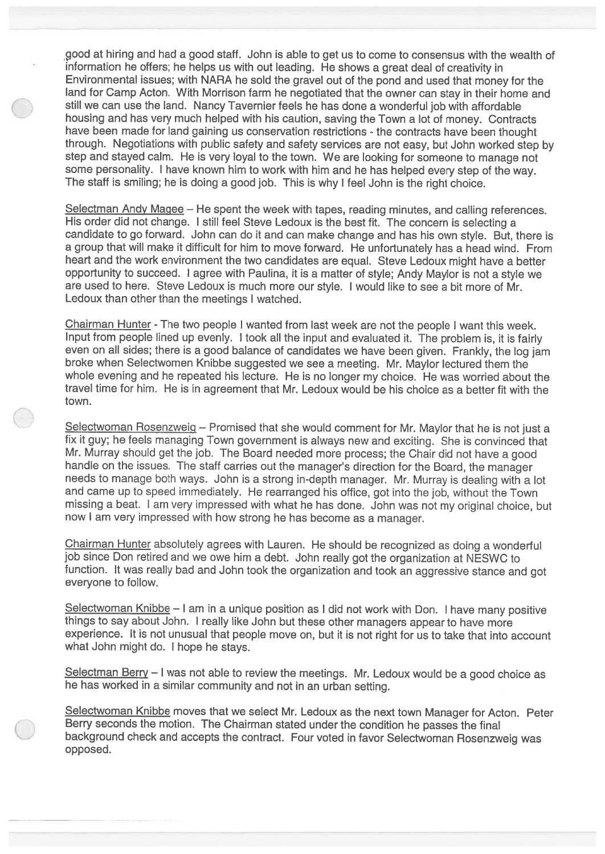900d at hiring and had <sup>a</sup> good staff. John is able to ge<sup>t</sup> us to come to consensus with the wealth of information he offers; he helps us with out leading. He shows <sup>a</sup> grea<sup>t</sup> deal of creativity in Environmental issues; with NARA he sold the grave<sup>l</sup> out of the pon<sup>d</sup> and used that money for the land for Camp Acton. With Morrison farm he negotiated that the owner can stay in their home and still we can use the land. Nancy Tavernier feels he has done <sup>a</sup> wonderful job with affordable housing and has very much helped with his caution, saving the Town <sup>a</sup> lot of money. Contracts have been made for land gaining us conservation restrictions - the contracts have been thought through. Negotiations with public safety and safety services are not easy, but John worked step by step and stayed calm. He is very loyal to the town. We are looking for someone to manage not some personality. <sup>I</sup> have known him to work with him and he has helped every step of the way. The staff is smiling; he is doing <sup>a</sup> goo<sup>d</sup> job. This is why <sup>I</sup> feel John is the right choice.

Selectman Andy Maqee — He spen<sup>t</sup> the week with tapes, reading minutes, and calling references. His order did not change. <sup>I</sup> still feel Steve Ledoux is the best fit. The concern is selecting <sup>a</sup> candidate to go forward. John can do it and can make change and has his own style. But, there is <sup>a</sup> group that will make it difficult for him to move forward. He unfortunately has <sup>a</sup> head wind. From heart and the work environment the two candidates are equal. Steve Ledoux might have <sup>a</sup> better opportunity to succeed. <sup>I</sup> agree with Paulina, it is <sup>a</sup> matter of style; Andy Maylor is not <sup>a</sup> style we are used to here. Steve Ledoux is much more our style. <sup>I</sup> would like to see <sup>a</sup> bit more of Mr. Ledoux than other than the meetings <sup>I</sup> watched.

Chairman Hunter - The two people I wanted from last week are not the people I want this week. Input from people lined up evenly. <sup>I</sup> took all the input and evaluated it. The problem is, it is fairly even on all sides; there is <sup>a</sup> goo<sup>d</sup> balance of candidates we have been <sup>g</sup>iven. Frankly, the log jam broke when Selectwomen Knibbe suggested we see <sup>a</sup> meeting. Mr. Maylor lectured them the whole evening and he repeated his lecture. He is no longer my choice. He was worried about the travel time for him. He is in agreemen<sup>t</sup> that Mr. Ledoux would be his choice as <sup>a</sup> better fit with the town.

Selectwoman Rosenzweig — Promised that she would comment for Mr. Maylor that he is not just <sup>a</sup> fix it guy; he feels managing Town governmen<sup>t</sup> is always new and exciting. She is convinced that Mr. Murray should ge<sup>t</sup> the job. The Board needed more process; the Chair did not have <sup>a</sup> goo<sup>d</sup> handle on the issues. The staff carries out the manager's direction for the Board, the manager needs to manage both ways. John is <sup>a</sup> strong in-depth manager. Mr. Murray is dealing with <sup>a</sup> lot and came up to spee<sup>d</sup> immediately. He rearrange<sup>d</sup> his office, go<sup>t</sup> into the job, without the Town missing <sup>a</sup> beat. <sup>I</sup> am very impressed with what he has done. John was not my original choice, but now <sup>I</sup> am very impressed with how strong he has become as <sup>a</sup> manager.

Chairman Hunter absolutely agrees with Lauren. He should be recognized as doing <sup>a</sup> wonderful job since Don retired and we owe him <sup>a</sup> debt. John really go<sup>t</sup> the organization at NESWC to function. It was really bad and John took the organization and took an aggressive stance and go<sup>t</sup> everyone to follow.

Selectwoman Knibbe - I am in a unique position as I did not work with Don. I have many positive things to say about John. <sup>I</sup> really like John but these other managers appear to have more experience. It is not unusual that people move on, but it is not right for us to take that into account what John might do. <sup>I</sup> hope he stays.

Selectman Berry  $-1$  was not able to review the meetings. Mr. Ledoux would be a good choice as he has worked in <sup>a</sup> similar community and not in an urban setting.

Selectwoman Knibbe moves that we select Mr. Ledoux as the next town Manager for Acton. Peter Berry seconds the motion. The Chairman stated under the condition he passes the final background check and accepts the contract. Four voted in favor Selectwoman Rosenzweig was opposed.